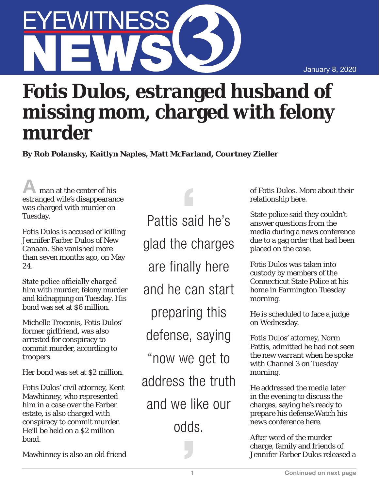January 8, 2020

## YEWITNESS

## **Fotis Dulos, estranged husband of missing mom, charged with felony murder**

**By Rob Polansky, Kaitlyn Naples, Matt McFarland, Courtney Zieller**

man at the center of his estranged wife's disappearance was charged with murder on Tuesday.

Fotis Dulos is accused of killing Jennifer Farber Dulos of New Canaan. She vanished more than seven months ago, on May 24.

State police officially charged him with murder, felony murder and kidnapping on Tuesday. His bond was set at \$6 million.

Michelle Troconis, Fotis Dulos' former girlfriend, was also arrested for conspiracy to commit murder, according to troopers.

Her bond was set at \$2 million.

Fotis Dulos' civil attorney, Kent Mawhinney, who represented him in a case over the Farber estate, is also charged with conspiracy to commit murder. He'll be held on a \$2 million bond.

Mawhinney is also an old friend

Pattis said he's glad the charges are finally here and he can start preparing this defense, saying "now we get to address the truth and we like our odds.

of Fotis Dulos. More about their relationship here.

State police said they couldn't answer questions from the media during a news conference due to a gag order that had been placed on the case.

Fotis Dulos was taken into custody by members of the Connecticut State Police at his home in Farmington Tuesday morning.

He is scheduled to face a judge on Wednesday.

Fotis Dulos' attorney, Norm Pattis, admitted he had not seen the new warrant when he spoke with Channel 3 on Tuesday morning.

He addressed the media later in the evening to discuss the charges, saying he's ready to prepare his defense.Watch his news conference here.

After word of the murder charge, family and friends of Jennifer Farber Dulos released a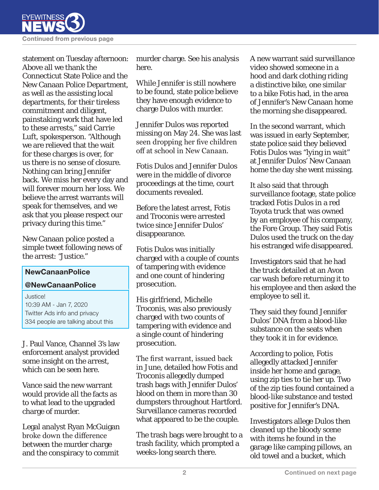

statement on Tuesday afternoon: Above all we thank the Connecticut State Police and the New Canaan Police Department, as well as the assisting local departments, for their tireless commitment and diligent, painstaking work that have led to these arrests," said Carrie Luft, spokesperson. "Although we are relieved that the wait for these charges is over, for us there is no sense of closure. Nothing can bring Jennifer back. We miss her every day and will forever mourn her loss. We believe the arrest warrants will speak for themselves, and we ask that you please respect our privacy during this time."

New Canaan police posted a simple tweet following news of the arrest: "Justice."

## NewCanaanPolice

## @NewCanaanPolice

Justice! 10:39 AM - Jan 7, 2020 Twitter Ads info and privacy 334 people are talking about this

J. Paul Vance, Channel 3's law enforcement analyst provided some insight on the arrest, which can be seen here.

Vance said the new warrant would provide all the facts as to what lead to the upgraded charge of murder.

Legal analyst Ryan McGuigan broke down the difference between the murder charge and the conspiracy to commit

murder charge. See his analysis here.

While Jennifer is still nowhere to be found, state police believe they have enough evidence to charge Dulos with murder.

Jennifer Dulos was reported missing on May 24. She was last seen dropping her five children off at school in New Canaan.

Fotis Dulos and Jennifer Dulos were in the middle of divorce proceedings at the time, court documents revealed.

Before the latest arrest, Fotis and Troconis were arrested twice since Jennifer Dulos' disappearance.

Fotis Dulos was initially charged with a couple of counts of tampering with evidence and one count of hindering prosecution.

His girlfriend, Michelle Troconis, was also previously charged with two counts of tampering with evidence and a single count of hindering prosecution.

The first warrant, issued back in June, detailed how Fotis and Troconis allegedly dumped trash bags with Jennifer Dulos' blood on them in more than 30 dumpsters throughout Hartford. Surveillance cameras recorded what appeared to be the couple.

The trash bags were brought to a trash facility, which prompted a weeks-long search there.

A new warrant said surveillance video showed someone in a hood and dark clothing riding a distinctive bike, one similar to a bike Fotis had, in the area of Jennifer's New Canaan home the morning she disappeared.

In the second warrant, which was issued in early September, state police said they believed Fotis Dulos was "lying in wait" at Jennifer Dulos' New Canaan home the day she went missing.

It also said that through surveillance footage, state police tracked Fotis Dulos in a red Toyota truck that was owned by an employee of his company, the Fore Group. They said Fotis Dulos used the truck on the day his estranged wife disappeared.

Investigators said that he had the truck detailed at an Avon car wash before returning it to his employee and then asked the employee to sell it.

They said they found Jennifer Dulos' DNA from a blood-like substance on the seats when they took it in for evidence.

According to police, Fotis allegedly attacked Jennifer inside her home and garage, using zip ties to tie her up. Two of the zip ties found contained a blood-like substance and tested positive for Jennifer's DNA.

Investigators allege Dulos then cleaned up the bloody scene with items he found in the garage like camping pillows, an old towel and a bucket, which